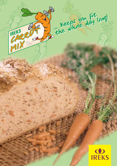